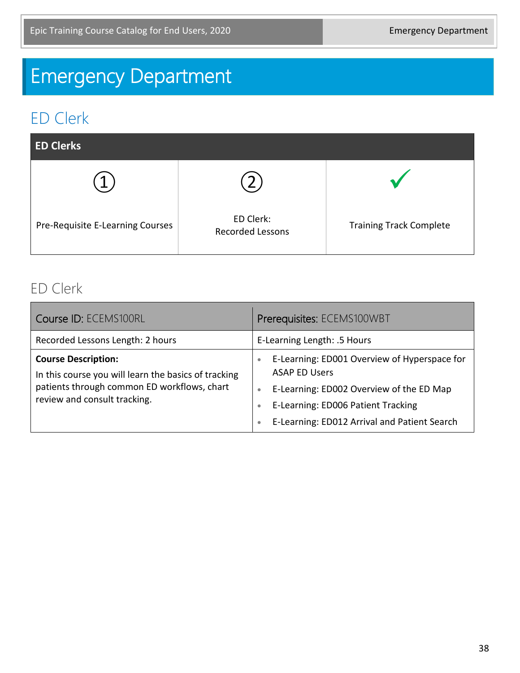# Emergency Department

## ED Clerk

| <b>ED Clerks</b>                 |                                      |                                |
|----------------------------------|--------------------------------------|--------------------------------|
|                                  |                                      |                                |
| Pre-Requisite E-Learning Courses | ED Clerk:<br><b>Recorded Lessons</b> | <b>Training Track Complete</b> |

#### ED Clerk

| Course ID: ECEMS100RL                                                                                                                                             | Prerequisites: ECEMS100WBT                                                                                                                                                                                                                                 |
|-------------------------------------------------------------------------------------------------------------------------------------------------------------------|------------------------------------------------------------------------------------------------------------------------------------------------------------------------------------------------------------------------------------------------------------|
| Recorded Lessons Length: 2 hours                                                                                                                                  | E-Learning Length: .5 Hours                                                                                                                                                                                                                                |
| <b>Course Description:</b><br>In this course you will learn the basics of tracking<br>patients through common ED workflows, chart<br>review and consult tracking. | E-Learning: ED001 Overview of Hyperspace for<br>$\bullet$<br><b>ASAP ED Users</b><br>E-Learning: ED002 Overview of the ED Map<br>$\bullet$<br>E-Learning: ED006 Patient Tracking<br>$\bullet$<br>E-Learning: ED012 Arrival and Patient Search<br>$\bullet$ |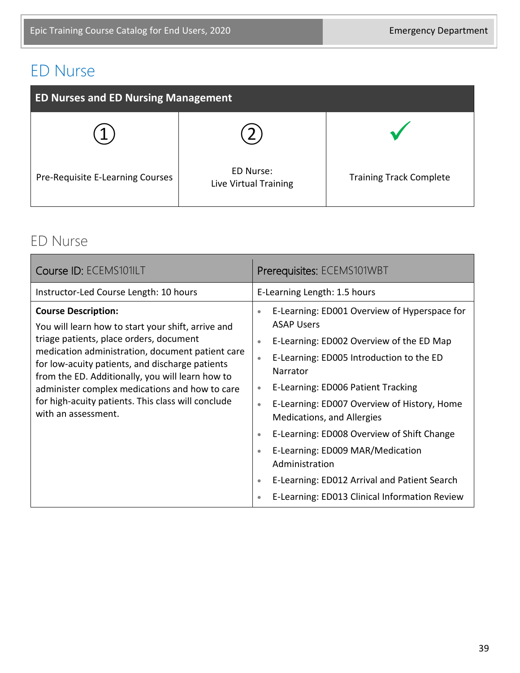## ED Nurse

| <b>ED Nurses and ED Nursing Management</b> |                                    |                                |  |
|--------------------------------------------|------------------------------------|--------------------------------|--|
|                                            |                                    |                                |  |
| Pre-Requisite E-Learning Courses           | ED Nurse:<br>Live Virtual Training | <b>Training Track Complete</b> |  |

#### ED Nurse

| Course ID: ECEMS101ILT                                                                                                                                                                                                                                                                                                                                                                                                | Prerequisites: ECEMS101WBT                                                                                                                                                                                                                                                                                                                                                                                                                                                                                                                                                                                         |
|-----------------------------------------------------------------------------------------------------------------------------------------------------------------------------------------------------------------------------------------------------------------------------------------------------------------------------------------------------------------------------------------------------------------------|--------------------------------------------------------------------------------------------------------------------------------------------------------------------------------------------------------------------------------------------------------------------------------------------------------------------------------------------------------------------------------------------------------------------------------------------------------------------------------------------------------------------------------------------------------------------------------------------------------------------|
| Instructor-Led Course Length: 10 hours                                                                                                                                                                                                                                                                                                                                                                                | E-Learning Length: 1.5 hours                                                                                                                                                                                                                                                                                                                                                                                                                                                                                                                                                                                       |
| <b>Course Description:</b><br>You will learn how to start your shift, arrive and<br>triage patients, place orders, document<br>medication administration, document patient care<br>for low-acuity patients, and discharge patients<br>from the ED. Additionally, you will learn how to<br>administer complex medications and how to care<br>for high-acuity patients. This class will conclude<br>with an assessment. | E-Learning: ED001 Overview of Hyperspace for<br>$\bullet$<br><b>ASAP Users</b><br>E-Learning: ED002 Overview of the ED Map<br>$\bullet$<br>E-Learning: ED005 Introduction to the ED<br>$\bullet$<br>Narrator<br>E-Learning: ED006 Patient Tracking<br>$\bullet$<br>E-Learning: ED007 Overview of History, Home<br>$\bullet$<br>Medications, and Allergies<br>E-Learning: ED008 Overview of Shift Change<br>$\bullet$<br>E-Learning: ED009 MAR/Medication<br>$\bullet$<br>Administration<br>E-Learning: ED012 Arrival and Patient Search<br>$\bullet$<br>E-Learning: ED013 Clinical Information Review<br>$\bullet$ |